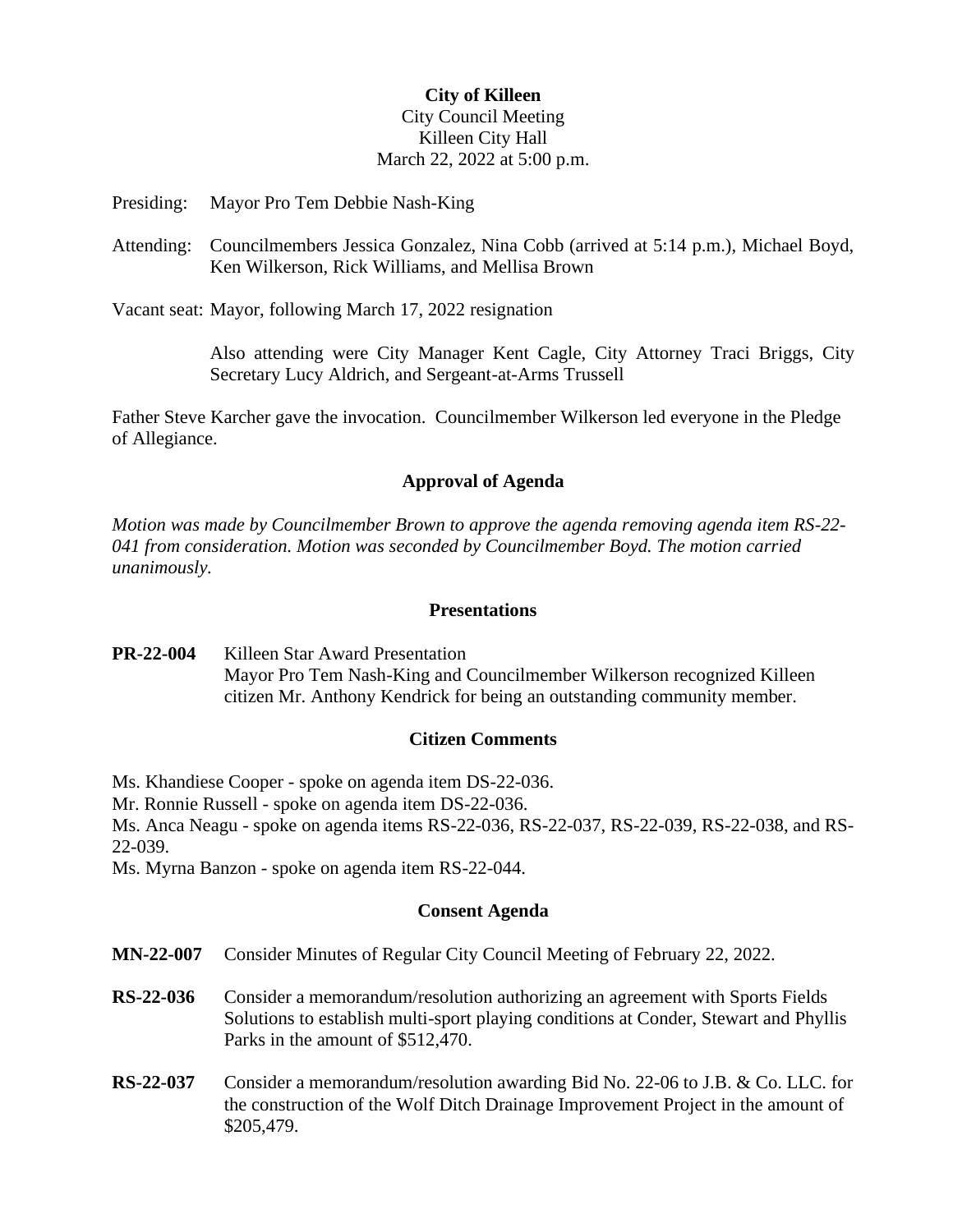# **City of Killeen** City Council Meeting Killeen City Hall March 22, 2022 at 5:00 p.m.

- Presiding: Mayor Pro Tem Debbie Nash-King
- Attending: Councilmembers Jessica Gonzalez, Nina Cobb (arrived at 5:14 p.m.), Michael Boyd, Ken Wilkerson, Rick Williams, and Mellisa Brown

Vacant seat: Mayor, following March 17, 2022 resignation

Also attending were City Manager Kent Cagle, City Attorney Traci Briggs, City Secretary Lucy Aldrich, and Sergeant-at-Arms Trussell

Father Steve Karcher gave the invocation. Councilmember Wilkerson led everyone in the Pledge of Allegiance.

# **Approval of Agenda**

*Motion was made by Councilmember Brown to approve the agenda removing agenda item RS-22- 041 from consideration. Motion was seconded by Councilmember Boyd. The motion carried unanimously.*

## **Presentations**

**PR-22-004** Killeen Star Award Presentation Mayor Pro Tem Nash-King and Councilmember Wilkerson recognized Killeen citizen Mr. Anthony Kendrick for being an outstanding community member.

## **Citizen Comments**

Ms. Khandiese Cooper - spoke on agenda item DS-22-036.

Mr. Ronnie Russell - spoke on agenda item DS-22-036.

Ms. Anca Neagu - spoke on agenda items RS-22-036, RS-22-037, RS-22-039, RS-22-038, and RS-22-039.

Ms. Myrna Banzon - spoke on agenda item RS-22-044.

## **Consent Agenda**

- **MN-22-007** Consider Minutes of Regular City Council Meeting of February 22, 2022.
- **RS-22-036** Consider a memorandum/resolution authorizing an agreement with Sports Fields Solutions to establish multi-sport playing conditions at Conder, Stewart and Phyllis Parks in the amount of \$512,470.
- **RS-22-037** Consider a memorandum/resolution awarding Bid No. 22-06 to J.B. & Co. LLC. for the construction of the Wolf Ditch Drainage Improvement Project in the amount of \$205,479.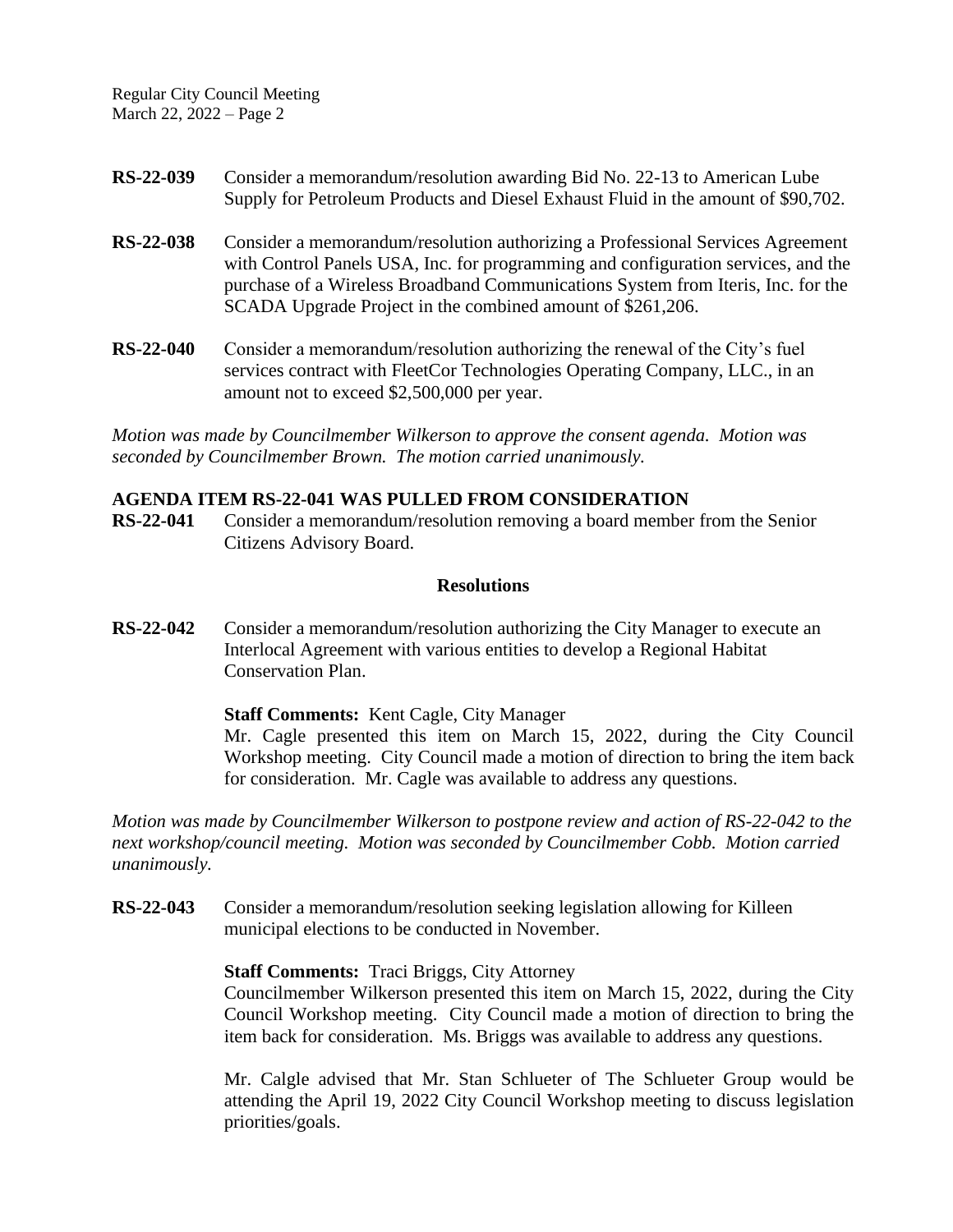Regular City Council Meeting March 22, 2022 – Page 2

| RS-22-039        | Consider a memorandum/resolution awarding Bid No. 22-13 to American Lube<br>Supply for Petroleum Products and Diesel Exhaust Fluid in the amount of \$90,702.                                                                                                                                                         |
|------------------|-----------------------------------------------------------------------------------------------------------------------------------------------------------------------------------------------------------------------------------------------------------------------------------------------------------------------|
| <b>RS-22-038</b> | Consider a memorandum/resolution authorizing a Professional Services Agreement<br>with Control Panels USA, Inc. for programming and configuration services, and the<br>purchase of a Wireless Broadband Communications System from Iteris, Inc. for the<br>SCADA Upgrade Project in the combined amount of \$261,206. |
| <b>RS-22-040</b> | Consider a memorandum/resolution authorizing the renewal of the City's fuel<br>services contract with FleetCor Technologies Operating Company, LLC., in an<br>amount not to exceed \$2,500,000 per year.                                                                                                              |

*Motion was made by Councilmember Wilkerson to approve the consent agenda. Motion was seconded by Councilmember Brown. The motion carried unanimously.*

## **AGENDA ITEM RS-22-041 WAS PULLED FROM CONSIDERATION**

**RS-22-041** Consider a memorandum/resolution removing a board member from the Senior Citizens Advisory Board.

#### **Resolutions**

**RS-22-042** Consider a memorandum/resolution authorizing the City Manager to execute an Interlocal Agreement with various entities to develop a Regional Habitat Conservation Plan.

**Staff Comments:** Kent Cagle, City Manager

Mr. Cagle presented this item on March 15, 2022, during the City Council Workshop meeting. City Council made a motion of direction to bring the item back for consideration. Mr. Cagle was available to address any questions.

*Motion was made by Councilmember Wilkerson to postpone review and action of RS-22-042 to the next workshop/council meeting. Motion was seconded by Councilmember Cobb. Motion carried unanimously.*

**RS-22-043** Consider a memorandum/resolution seeking legislation allowing for Killeen municipal elections to be conducted in November.

#### **Staff Comments:** Traci Briggs, City Attorney

Councilmember Wilkerson presented this item on March 15, 2022, during the City Council Workshop meeting. City Council made a motion of direction to bring the item back for consideration. Ms. Briggs was available to address any questions.

Mr. Calgle advised that Mr. Stan Schlueter of The Schlueter Group would be attending the April 19, 2022 City Council Workshop meeting to discuss legislation priorities/goals.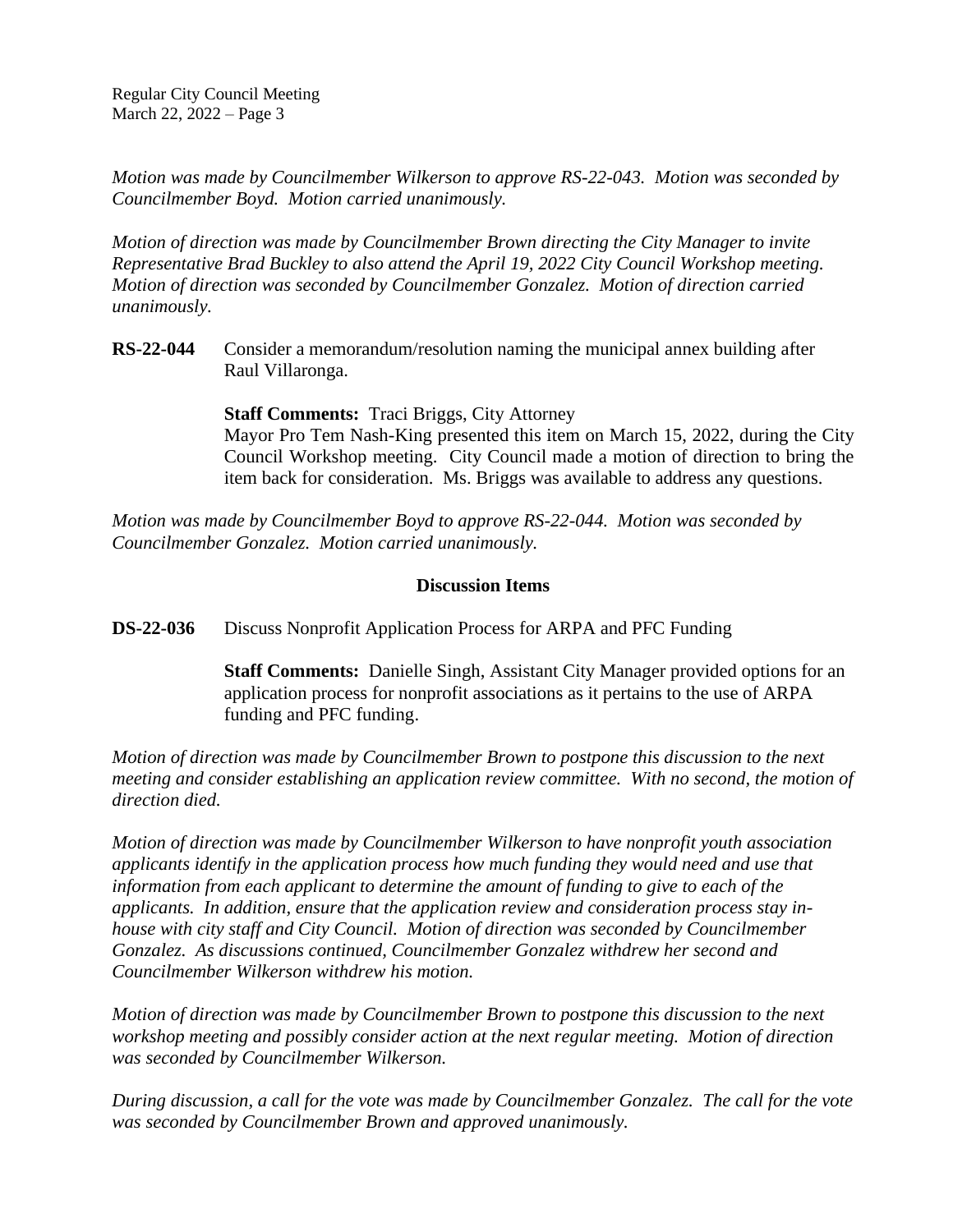*Motion was made by Councilmember Wilkerson to approve RS-22-043. Motion was seconded by Councilmember Boyd. Motion carried unanimously.*

*Motion of direction was made by Councilmember Brown directing the City Manager to invite Representative Brad Buckley to also attend the April 19, 2022 City Council Workshop meeting. Motion of direction was seconded by Councilmember Gonzalez. Motion of direction carried unanimously.*

**RS-22-044** Consider a memorandum/resolution naming the municipal annex building after Raul Villaronga.

> **Staff Comments:** Traci Briggs, City Attorney Mayor Pro Tem Nash-King presented this item on March 15, 2022, during the City Council Workshop meeting. City Council made a motion of direction to bring the item back for consideration. Ms. Briggs was available to address any questions.

*Motion was made by Councilmember Boyd to approve RS-22-044. Motion was seconded by Councilmember Gonzalez. Motion carried unanimously.*

# **Discussion Items**

**DS-22-036** Discuss Nonprofit Application Process for ARPA and PFC Funding

**Staff Comments:** Danielle Singh, Assistant City Manager provided options for an application process for nonprofit associations as it pertains to the use of ARPA funding and PFC funding.

*Motion of direction was made by Councilmember Brown to postpone this discussion to the next meeting and consider establishing an application review committee. With no second, the motion of direction died.* 

*Motion of direction was made by Councilmember Wilkerson to have nonprofit youth association applicants identify in the application process how much funding they would need and use that information from each applicant to determine the amount of funding to give to each of the applicants. In addition, ensure that the application review and consideration process stay inhouse with city staff and City Council. Motion of direction was seconded by Councilmember Gonzalez. As discussions continued, Councilmember Gonzalez withdrew her second and Councilmember Wilkerson withdrew his motion.* 

*Motion of direction was made by Councilmember Brown to postpone this discussion to the next workshop meeting and possibly consider action at the next regular meeting. Motion of direction was seconded by Councilmember Wilkerson.*

*During discussion, a call for the vote was made by Councilmember Gonzalez. The call for the vote was seconded by Councilmember Brown and approved unanimously.*